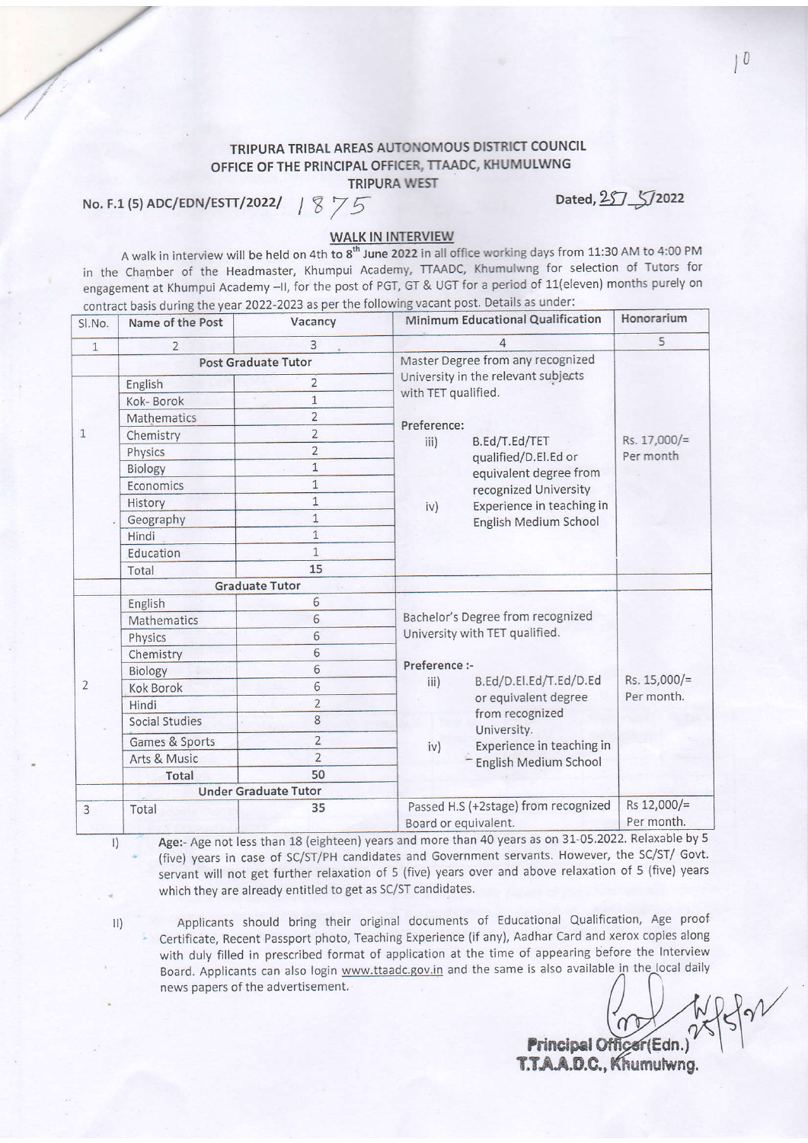## TRIPURA TRIBAL AREAS AUTONOMOUS DISTRICT COUNCIL OFFICE OF THE PRINCIPAL OFFICER, TTAADC, KHUMULWNG

TRIPURA WEST

No. F.1 (5) ADC/EDN/ESTT/2022/  $1875$ 

Dated, 257 5/2022

## WALK IN INTERVIEW

A walk in interview will be held on 4th to 8<sup>th</sup> June 2022 in all office working days from 11:30 AM to 4:00 PM in the chamber of the Headmaster, Khumpui Academy, TTAADC, Khumulwng for selection of Tutors for engagement at Khumpui Academy -ll, for the post of PGT, GT & UGT for a period of 11(eleven) months purely on contract basis during the year 2022-2023 as per the following vacant post. Details as under:

| SI.No.         | Name of the Post            | Vacancy        | Minimum Educational Qualification                      | Honorarium                 |
|----------------|-----------------------------|----------------|--------------------------------------------------------|----------------------------|
| $\mathbf{1}$   | $\overline{2}$              | 3              | 4                                                      | 5                          |
|                | <b>Post Graduate Tutor</b>  |                | Master Degree from any recognized                      | Rs. 17,000/=<br>Per month  |
| $\mathbf{1}$   | English                     | $\overline{2}$ | University in the relevant subjects                    |                            |
|                | Kok-Borok                   | $\overline{1}$ | with TET qualified.                                    |                            |
|                | Mathematics                 | $\overline{2}$ |                                                        |                            |
|                | Chemistry                   | $\overline{2}$ | Preference:<br>B.Ed/T.Ed/TET                           |                            |
|                | Physics                     | $\overline{2}$ | iii)<br>qualified/D.El.Ed or                           |                            |
|                | Biology                     | $\mathbf{1}$   | equivalent degree from                                 |                            |
|                | Economics                   | $\mathbf{1}$   | recognized University                                  |                            |
|                | History                     | $\mathbf{1}$   | Experience in teaching in<br>iv)                       |                            |
|                | Geography                   | $\mathbf{1}$   | English Medium School                                  |                            |
|                | Hindi                       | $\overline{1}$ |                                                        |                            |
|                | Education                   | $\overline{1}$ |                                                        |                            |
|                | Total                       | 15             |                                                        |                            |
|                | <b>Graduate Tutor</b>       |                |                                                        |                            |
|                | English                     | 6              |                                                        | Rs. 15,000/=<br>Per month. |
|                | Mathematics                 | 6              | Bachelor's Degree from recognized                      |                            |
|                | Physics                     | 6              | University with TET qualified.                         |                            |
|                | Chemistry                   | 6              |                                                        |                            |
|                | Biology                     | 6              | Preference :-                                          |                            |
| $\overline{2}$ | <b>Kok Borok</b>            | 6              | B.Ed/D.El.Ed/T.Ed/D.Ed<br>iii)<br>or equivalent degree |                            |
|                | Hindi                       | $\overline{2}$ | from recognized                                        |                            |
|                | <b>Social Studies</b>       | 8              | University.                                            |                            |
|                | Games & Sports              | $\overline{2}$ | Experience in teaching in<br>iv)                       |                            |
|                | Arts & Music                | $\overline{2}$ | English Medium School                                  |                            |
|                | Total                       | 50             |                                                        |                            |
|                | <b>Under Graduate Tutor</b> |                |                                                        |                            |
| 3              | Total                       | 35             | Passed H.S (+2stage) from recognized                   | Rs 12,000/=                |
|                |                             |                | Board or equivalent.                                   | Per month.                 |

 $|1\rangle$ 

Age:- Age not less than 18 (eighteen) years and more than 40 years as on 31-05.2022. Relaxable by 5 (five) years in case of sc/sT/PH candidates and Government servants. However, the sc/sT/ Govt. servant will not get further relaxation of 5 (five) years over and above relaxation of 5 (five) years which they are already entitled to get as SC/ST candidates.

Applicants should bring their original documents of Educational Qualification, Age proof Certificate, Recent Passport photo, Teaching Experience (if any), Aadhar Card and xerox copies along with duly filled in prescribed format of application at the time of appearing before the Interview Board. Applicants can also login www.ttaadc.gov.in and the same is also available in the local daily news papers of the advertisement.

**Principal** <u>T.T.A.A.D.C.,</u>

 $10$